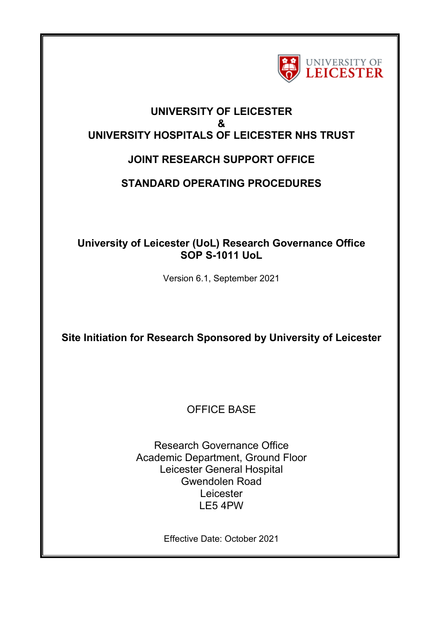

## **UNIVERSITY OF LEICESTER & UNIVERSITY HOSPITALS OF LEICESTER NHS TRUST**

# **JOINT RESEARCH SUPPORT OFFICE**

## **STANDARD OPERATING PROCEDURES**

## **University of Leicester (UoL) Research Governance Office SOP S-1011 UoL**

Version 6.1, September 2021

**Site Initiation for Research Sponsored by University of Leicester** 

OFFICE BASE

Research Governance Office Academic Department, Ground Floor Leicester General Hospital Gwendolen Road Leicester LE5 4PW

Effective Date: October 2021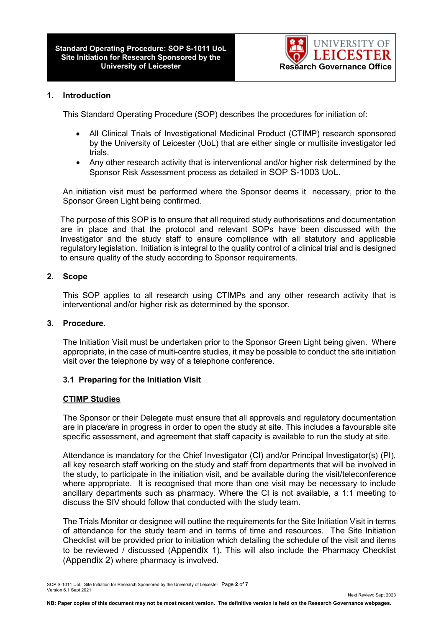

#### **1. Introduction**

This Standard Operating Procedure (SOP) describes the procedures for initiation of:

- All Clinical Trials of Investigational Medicinal Product (CTIMP) research sponsored by the University of Leicester (UoL) that are either single or multisite investigator led trials.
- Any other research activity that is interventional and/or higher risk determined by the Sponsor Risk Assessment process as detailed in SOP S-1003 UoL.

An initiation visit must be performed where the Sponsor deems it necessary, prior to the Sponsor Green Light being confirmed.

The purpose of this SOP is to ensure that all required study authorisations and documentation are in place and that the protocol and relevant SOPs have been discussed with the Investigator and the study staff to ensure compliance with all statutory and applicable regulatory legislation. Initiation is integral to the quality control of a clinical trial and is designed to ensure quality of the study according to Sponsor requirements.

#### **2. Scope**

This SOP applies to all research using CTIMPs and any other research activity that is interventional and/or higher risk as determined by the sponsor.

#### **3. Procedure.**

The Initiation Visit must be undertaken prior to the Sponsor Green Light being given. Where appropriate, in the case of multi-centre studies, it may be possible to conduct the site initiation visit over the telephone by way of a telephone conference.

#### **3.1 Preparing for the Initiation Visit**

#### **CTIMP Studies**

The Sponsor or their Delegate must ensure that all approvals and regulatory documentation are in place/are in progress in order to open the study at site. This includes a favourable site specific assessment, and agreement that staff capacity is available to run the study at site.

Attendance is mandatory for the Chief Investigator (CI) and/or Principal Investigator(s) (PI), all key research staff working on the study and staff from departments that will be involved in the study, to participate in the initiation visit, and be available during the visit/teleconference where appropriate. It is recognised that more than one visit may be necessary to include ancillary departments such as pharmacy. Where the CI is not available, a 1:1 meeting to discuss the SIV should follow that conducted with the study team.

The Trials Monitor or designee will outline the requirements for the Site Initiation Visit in terms of attendance for the study team and in terms of time and resources. The Site Initiation Checklist will be provided prior to initiation which detailing the schedule of the visit and items to be reviewed / discussed (Appendix 1). This will also include the Pharmacy Checklist (Appendix 2) where pharmacy is involved.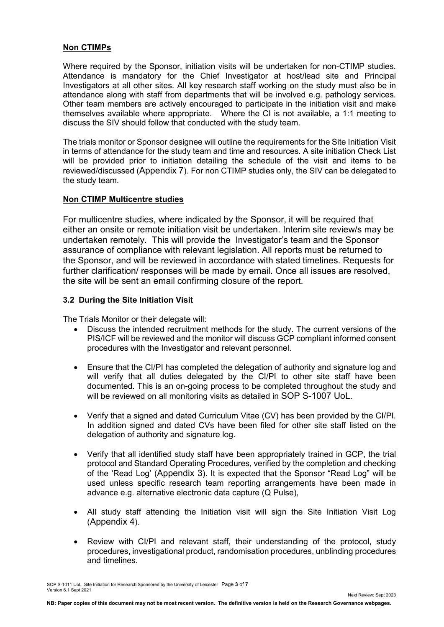#### **Non CTIMPs**

Where required by the Sponsor, initiation visits will be undertaken for non-CTIMP studies. Attendance is mandatory for the Chief Investigator at host/lead site and Principal Investigators at all other sites. All key research staff working on the study must also be in attendance along with staff from departments that will be involved e.g. pathology services. Other team members are actively encouraged to participate in the initiation visit and make themselves available where appropriate. Where the CI is not available, a 1:1 meeting to discuss the SIV should follow that conducted with the study team.

The trials monitor or Sponsor designee will outline the requirements for the Site Initiation Visit in terms of attendance for the study team and time and resources. A site initiation Check List will be provided prior to initiation detailing the schedule of the visit and items to be reviewed/discussed (Appendix 7). For non CTIMP studies only, the SIV can be delegated to the study team.

#### **Non CTIMP Multicentre studies**

For multicentre studies, where indicated by the Sponsor, it will be required that either an onsite or remote initiation visit be undertaken. Interim site review/s may be undertaken remotely. This will provide the Investigator's team and the Sponsor assurance of compliance with relevant legislation. All reports must be returned to the Sponsor, and will be reviewed in accordance with stated timelines. Requests for further clarification/ responses will be made by email. Once all issues are resolved, the site will be sent an email confirming closure of the report.

#### **3.2 During the Site Initiation Visit**

The Trials Monitor or their delegate will:

- Discuss the intended recruitment methods for the study. The current versions of the PIS/ICF will be reviewed and the monitor will discuss GCP compliant informed consent procedures with the Investigator and relevant personnel.
- Ensure that the CI/PI has completed the delegation of authority and signature log and will verify that all duties delegated by the CI/PI to other site staff have been documented. This is an on-going process to be completed throughout the study and will be reviewed on all monitoring visits as detailed in SOP S-1007 UoL.
- Verify that a signed and dated Curriculum Vitae (CV) has been provided by the CI/PI. In addition signed and dated CVs have been filed for other site staff listed on the delegation of authority and signature log.
- Verify that all identified study staff have been appropriately trained in GCP, the trial protocol and Standard Operating Procedures, verified by the completion and checking of the 'Read Log' (Appendix 3). It is expected that the Sponsor "Read Log" will be used unless specific research team reporting arrangements have been made in advance e.g. alternative electronic data capture (Q Pulse),
- All study staff attending the Initiation visit will sign the Site Initiation Visit Log (Appendix 4).
- Review with CI/PI and relevant staff, their understanding of the protocol, study procedures, investigational product, randomisation procedures, unblinding procedures and timelines.

SOP S-1011 UoL Site Initiation for Research Sponsored by the University of Leicester Page **3** of **7** Version 6.1 Sept 2021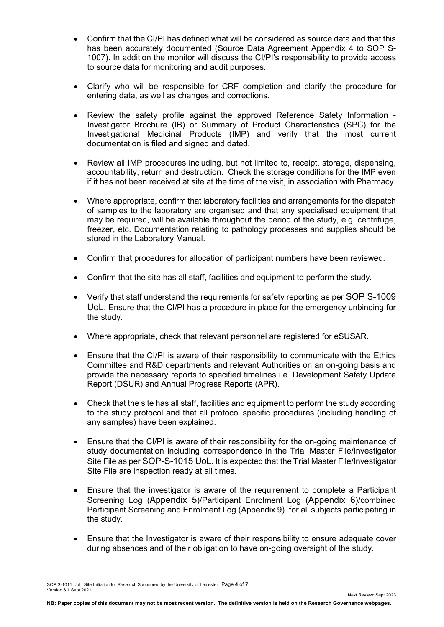- Confirm that the CI/PI has defined what will be considered as source data and that this has been accurately documented (Source Data Agreement Appendix 4 to SOP S-1007). In addition the monitor will discuss the CI/PI's responsibility to provide access to source data for monitoring and audit purposes.
- Clarify who will be responsible for CRF completion and clarify the procedure for entering data, as well as changes and corrections.
- Review the safety profile against the approved Reference Safety Information Investigator Brochure (IB) or Summary of Product Characteristics (SPC) for the Investigational Medicinal Products (IMP) and verify that the most current documentation is filed and signed and dated.
- Review all IMP procedures including, but not limited to, receipt, storage, dispensing, accountability, return and destruction. Check the storage conditions for the IMP even if it has not been received at site at the time of the visit, in association with Pharmacy.
- Where appropriate, confirm that laboratory facilities and arrangements for the dispatch of samples to the laboratory are organised and that any specialised equipment that may be required, will be available throughout the period of the study, e.g. centrifuge, freezer, etc. Documentation relating to pathology processes and supplies should be stored in the Laboratory Manual.
- Confirm that procedures for allocation of participant numbers have been reviewed.
- Confirm that the site has all staff, facilities and equipment to perform the study.
- Verify that staff understand the requirements for safety reporting as per SOP S-1009 UoL. Ensure that the CI/PI has a procedure in place for the emergency unbinding for the study.
- Where appropriate, check that relevant personnel are registered for eSUSAR.
- Ensure that the CI/PI is aware of their responsibility to communicate with the Ethics Committee and R&D departments and relevant Authorities on an on-going basis and provide the necessary reports to specified timelines i.e. Development Safety Update Report (DSUR) and Annual Progress Reports (APR).
- Check that the site has all staff, facilities and equipment to perform the study according to the study protocol and that all protocol specific procedures (including handling of any samples) have been explained.
- Ensure that the CI/PI is aware of their responsibility for the on-going maintenance of study documentation including correspondence in the Trial Master File/Investigator Site File as per SOP-S-1015 UoL. It is expected that the Trial Master File/Investigator Site File are inspection ready at all times.
- Ensure that the investigator is aware of the requirement to complete a Participant Screening Log (Appendix 5)/Participant Enrolment Log (Appendix 6)/combined Participant Screening and Enrolment Log (Appendix 9) for all subjects participating in the study.
- Ensure that the Investigator is aware of their responsibility to ensure adequate cover during absences and of their obligation to have on-going oversight of the study.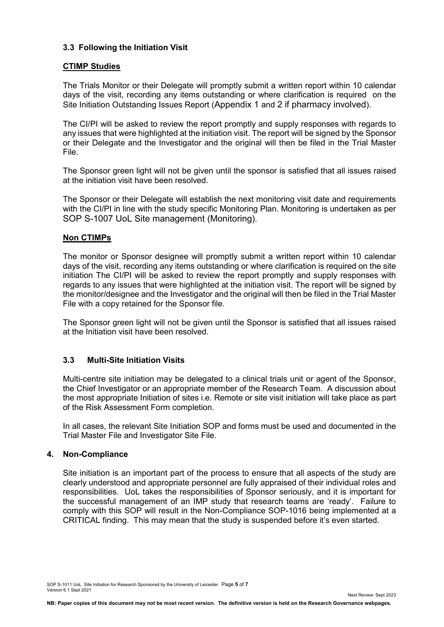#### **3.3 Following the Initiation Visit**

#### **CTIMP Studies**

The Trials Monitor or their Delegate will promptly submit a written report within 10 calendar days of the visit, recording any items outstanding or where clarification is required on the Site Initiation Outstanding Issues Report (Appendix 1 and 2 if pharmacy involved).

The CI/PI will be asked to review the report promptly and supply responses with regards to any issues that were highlighted at the initiation visit. The report will be signed by the Sponsor or their Delegate and the Investigator and the original will then be filed in the Trial Master File.

The Sponsor green light will not be given until the sponsor is satisfied that all issues raised at the initiation visit have been resolved.

The Sponsor or their Delegate will establish the next monitoring visit date and requirements with the CI/PI in line with the study specific Monitoring Plan. Monitoring is undertaken as per SOP S-1007 UoL Site management (Monitoring).

#### **Non CTIMPs**

The monitor or Sponsor designee will promptly submit a written report within 10 calendar days of the visit, recording any items outstanding or where clarification is required on the site initiation The CI/PI will be asked to review the report promptly and supply responses with regards to any issues that were highlighted at the initiation visit. The report will be signed by the monitor/designee and the Investigator and the original will then be filed in the Trial Master File with a copy retained for the Sponsor file.

The Sponsor green light will not be given until the Sponsor is satisfied that all issues raised at the Initiation visit have been resolved.

#### **3.3 Multi-Site Initiation Visits**

Multi-centre site initiation may be delegated to a clinical trials unit or agent of the Sponsor, the Chief Investigator or an appropriate member of the Research Team. A discussion about the most appropriate Initiation of sites i.e. Remote or site visit initiation will take place as part of the Risk Assessment Form completion.

In all cases, the relevant Site Initiation SOP and forms must be used and documented in the Trial Master File and Investigator Site File.

#### **4. Non-Compliance**

Site initiation is an important part of the process to ensure that all aspects of the study are clearly understood and appropriate personnel are fully appraised of their individual roles and responsibilities. UoL takes the responsibilities of Sponsor seriously, and it is important for the successful management of an IMP study that research teams are 'ready'. Failure to comply with this SOP will result in the Non-Compliance SOP-1016 being implemented at a CRITICAL finding. This may mean that the study is suspended before it's even started.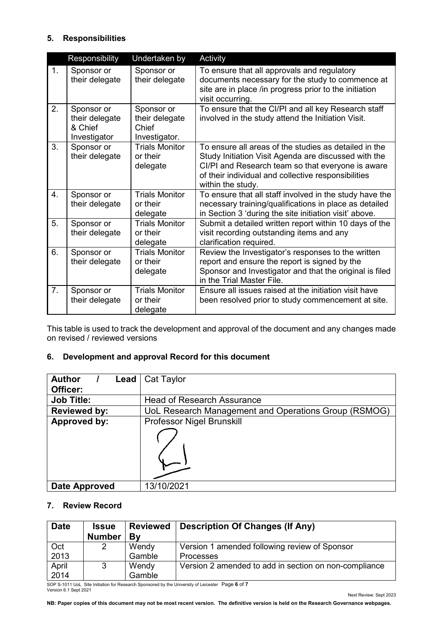### **5. Responsibilities**

|    | Responsibility                                          | Undertaken by                                          | Activity                                                                                                                                                                                                                                       |
|----|---------------------------------------------------------|--------------------------------------------------------|------------------------------------------------------------------------------------------------------------------------------------------------------------------------------------------------------------------------------------------------|
| 1. | Sponsor or<br>their delegate                            | Sponsor or<br>their delegate                           | To ensure that all approvals and regulatory<br>documents necessary for the study to commence at<br>site are in place /in progress prior to the initiation<br>visit occurring.                                                                  |
| 2. | Sponsor or<br>their delegate<br>& Chief<br>Investigator | Sponsor or<br>their delegate<br>Chief<br>Investigator. | To ensure that the CI/PI and all key Research staff<br>involved in the study attend the Initiation Visit.                                                                                                                                      |
| 3. | Sponsor or<br>their delegate                            | <b>Trials Monitor</b><br>or their<br>delegate          | To ensure all areas of the studies as detailed in the<br>Study Initiation Visit Agenda are discussed with the<br>CI/PI and Research team so that everyone is aware<br>of their individual and collective responsibilities<br>within the study. |
| 4. | Sponsor or<br>their delegate                            | <b>Trials Monitor</b><br>or their<br>delegate          | To ensure that all staff involved in the study have the<br>necessary training/qualifications in place as detailed<br>in Section 3 'during the site initiation visit' above.                                                                    |
| 5. | Sponsor or<br>their delegate                            | <b>Trials Monitor</b><br>or their<br>delegate          | Submit a detailed written report within 10 days of the<br>visit recording outstanding items and any<br>clarification required.                                                                                                                 |
| 6. | Sponsor or<br>their delegate                            | <b>Trials Monitor</b><br>or their<br>delegate          | Review the Investigator's responses to the written<br>report and ensure the report is signed by the<br>Sponsor and Investigator and that the original is filed<br>in the Trial Master File.                                                    |
| 7. | Sponsor or<br>their delegate                            | <b>Trials Monitor</b><br>or their<br>delegate          | Ensure all issues raised at the initiation visit have<br>been resolved prior to study commencement at site.                                                                                                                                    |

This table is used to track the development and approval of the document and any changes made on revised / reviewed versions

### **6. Development and approval Record for this document**

| <b>Author</b><br>$\textsf{lead}$ | Cat Taylor                                           |
|----------------------------------|------------------------------------------------------|
| Officer:                         |                                                      |
| <b>Job Title:</b>                | <b>Head of Research Assurance</b>                    |
| <b>Reviewed by:</b>              | UoL Research Management and Operations Group (RSMOG) |
| Approved by:                     | <b>Professor Nigel Brunskill</b>                     |
|                                  |                                                      |
| Date Approved                    | 13/10/2021                                           |

#### **7. Review Record**

| <b>Date</b>   | <b>Issue</b><br><b>Number</b> | <b>Reviewed</b><br>Bv | <b>Description Of Changes (If Any)</b>                            |
|---------------|-------------------------------|-----------------------|-------------------------------------------------------------------|
| Oct<br>2013   | 2                             | Wendy<br>Gamble       | Version 1 amended following review of Sponsor<br><b>Processes</b> |
| April<br>2014 | 3                             | Wendy<br>Gamble       | Version 2 amended to add in section on non-compliance             |

SOP S-1011 UoL Site Initiation for Research Sponsored by the University of Leicester Page **6** of **7** Version 6.1 Sept 2021

Next Review: Sept 2023

**NB: Paper copies of this document may not be most recent version. The definitive version is held on the Research Governance webpages.**